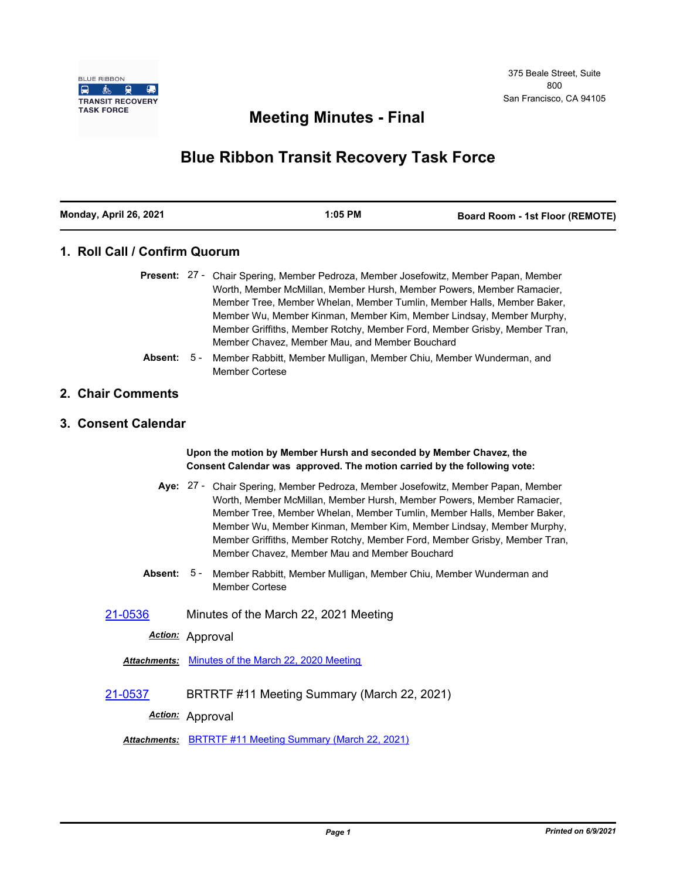

## **Meeting Minutes - Final**

# **Blue Ribbon Transit Recovery Task Force**

| Monday, April 26, 2021 | 1:05 PM | <b>Board Room - 1st Floor (REMOTE)</b> |
|------------------------|---------|----------------------------------------|

#### **1. Roll Call / Confirm Quorum**

|  | <b>Present:</b> 27 - Chair Spering, Member Pedroza, Member Josefowitz, Member Papan, Member |
|--|---------------------------------------------------------------------------------------------|
|  | Worth, Member McMillan, Member Hursh, Member Powers, Member Ramacier,                       |
|  | Member Tree, Member Whelan, Member Tumlin, Member Halls, Member Baker,                      |
|  | Member Wu, Member Kinman, Member Kim, Member Lindsay, Member Murphy,                        |
|  | Member Griffiths, Member Rotchy, Member Ford, Member Grisby, Member Tran,                   |
|  | Member Chavez, Member Mau, and Member Bouchard                                              |

Member Rabbitt, Member Mulligan, Member Chiu, Member Wunderman, and Member Cortese **Absent:** 5 -

#### **2. Chair Comments**

#### **3. Consent Calendar**

**Upon the motion by Member Hursh and seconded by Member Chavez, the Consent Calendar was approved. The motion carried by the following vote:**

- Aye: 27 Chair Spering, Member Pedroza, Member Josefowitz, Member Papan, Member Worth, Member McMillan, Member Hursh, Member Powers, Member Ramacier, Member Tree, Member Whelan, Member Tumlin, Member Halls, Member Baker, Member Wu, Member Kinman, Member Kim, Member Lindsay, Member Murphy, Member Griffiths, Member Rotchy, Member Ford, Member Grisby, Member Tran, Member Chavez, Member Mau and Member Bouchard
- **Absent:** Member Rabbitt, Member Mulligan, Member Chiu, Member Wunderman and Member Cortese Absent: 5 -

[21-0536](http://mtc.legistar.com/gateway.aspx?m=l&id=/matter.aspx?key=22129) Minutes of the March 22, 2021 Meeting

*Action:* Approval

*Attachments:* [Minutes of the March 22, 2020 Meeting](http://mtc.legistar.com/gateway.aspx?M=F&ID=5b31da64-d344-4535-94e0-0eeafc952e5f.pdf)

[21-0537](http://mtc.legistar.com/gateway.aspx?m=l&id=/matter.aspx?key=22130) BRTRTF #11 Meeting Summary (March 22, 2021)

*Action:* Approval

*Attachments:* [BRTRTF #11 Meeting Summary \(March 22, 2021\)](http://mtc.legistar.com/gateway.aspx?M=F&ID=43fe31ae-ab0c-49ac-8030-a9adaa830776.pdf)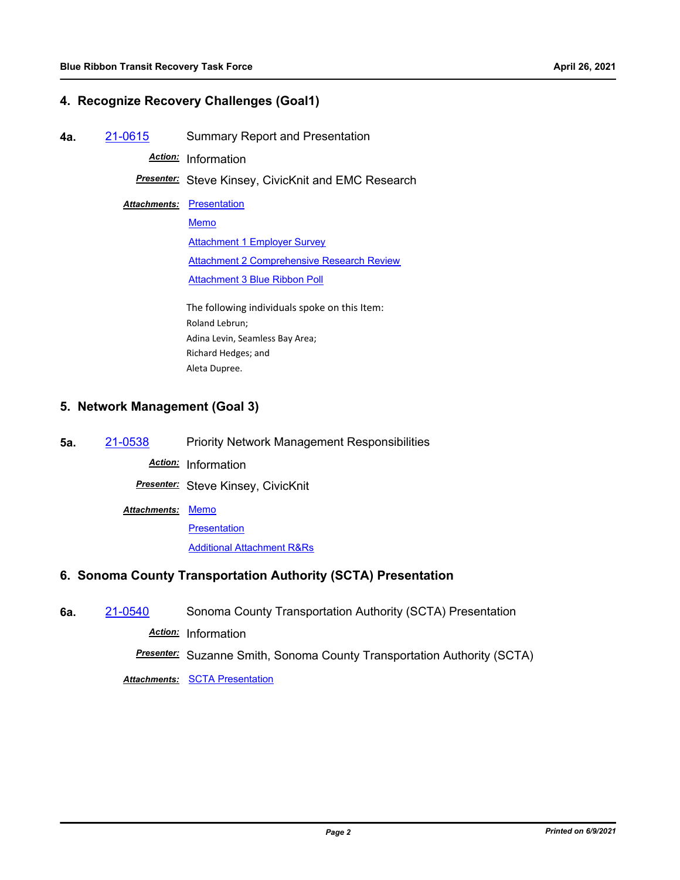#### **4. Recognize Recovery Challenges (Goal1)**

**4a.** [21-0615](http://mtc.legistar.com/gateway.aspx?m=l&id=/matter.aspx?key=22208) Summary Report and Presentation

*Action:* Information

*Presenter:* Steve Kinsey, CivicKnit and EMC Research

**Attachments: [Presentation](http://mtc.legistar.com/gateway.aspx?M=F&ID=a74baebe-065b-4505-8d6b-0f4791719ccb.pdf)** 

[Memo](http://mtc.legistar.com/gateway.aspx?M=F&ID=c9dd0540-4705-4f01-b812-7bccc9e2243c.pdf) **[Attachment 1 Employer Survey](http://mtc.legistar.com/gateway.aspx?M=F&ID=9de5852b-2aea-4cb0-9adb-9ed84c7aed58.pdf)** [Attachment 2 Comprehensive Research Review](http://mtc.legistar.com/gateway.aspx?M=F&ID=6c6de122-f30c-4240-be7f-590dd34e444a.pdf) [Attachment 3 Blue Ribbon Poll](http://mtc.legistar.com/gateway.aspx?M=F&ID=3d9e080c-f199-4045-8e26-dcfb111ef17f.pdf)

The following individuals spoke on this Item: Roland Lebrun; Adina Levin, Seamless Bay Area; Richard Hedges; and Aleta Dupree.

#### **5. Network Management (Goal 3)**

**5a.** [21-0538](http://mtc.legistar.com/gateway.aspx?m=l&id=/matter.aspx?key=22131) Priority Network Management Responsibilities

*Action:* Information

*Presenter:* Steve Kinsey, CivicKnit

Attachments: [Memo](http://mtc.legistar.com/gateway.aspx?M=F&ID=807fcddb-bb83-4432-850e-33511aa27679.pdf)

**[Presentation](http://mtc.legistar.com/gateway.aspx?M=F&ID=7799af99-f4e0-47c1-b0d3-1a95bcbeaff3.pdf)** 

[Additional Attachment R&Rs](http://mtc.legistar.com/gateway.aspx?M=F&ID=e593a87d-c7f5-4a76-b291-04e246fa8435.pdf)

### **6. Sonoma County Transportation Authority (SCTA) Presentation**

**6a.** [21-0540](http://mtc.legistar.com/gateway.aspx?m=l&id=/matter.aspx?key=22133) Sonoma County Transportation Authority (SCTA) Presentation

*Action:* Information

*Presenter:* Suzanne Smith, Sonoma County Transportation Authority (SCTA)

*Attachments:* [SCTA Presentation](http://mtc.legistar.com/gateway.aspx?M=F&ID=05ad3655-0b10-4580-9efe-118a888eb13f.pdf)